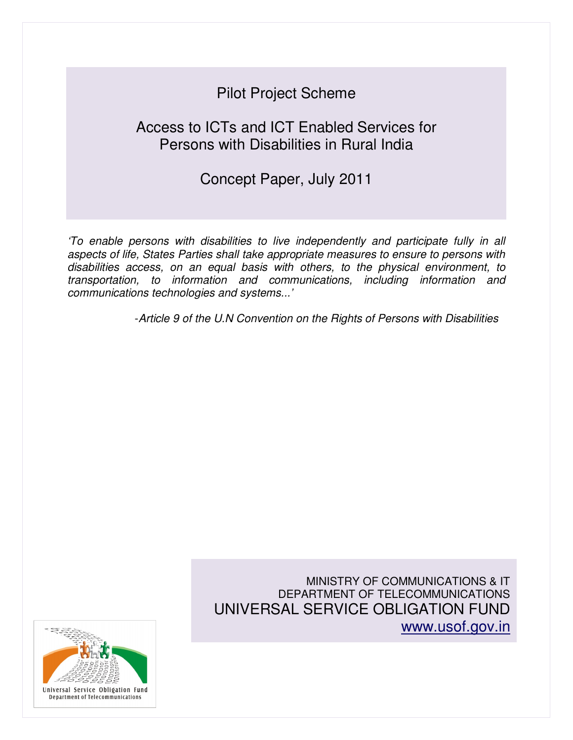# Pilot Project Scheme

# Access to ICTs and ICT Enabled Services for Persons with Disabilities in Rural India

# Concept Paper, July 2011

'To enable persons with disabilities to live independently and participate fully in all aspects of life, States Parties shall take appropriate measures to ensure to persons with disabilities access, on an equal basis with others, to the physical environment, to transportation, to information and communications, including information and communications technologies and systems...'

-Article 9 of the U.N Convention on the Rights of Persons with Disabilities

MINISTRY OF COMMUNICATIONS & IT DEPARTMENT OF TELECOMMUNICATIONS UNIVERSAL SERVICE OBLIGATION FUND www.usof.gov.in

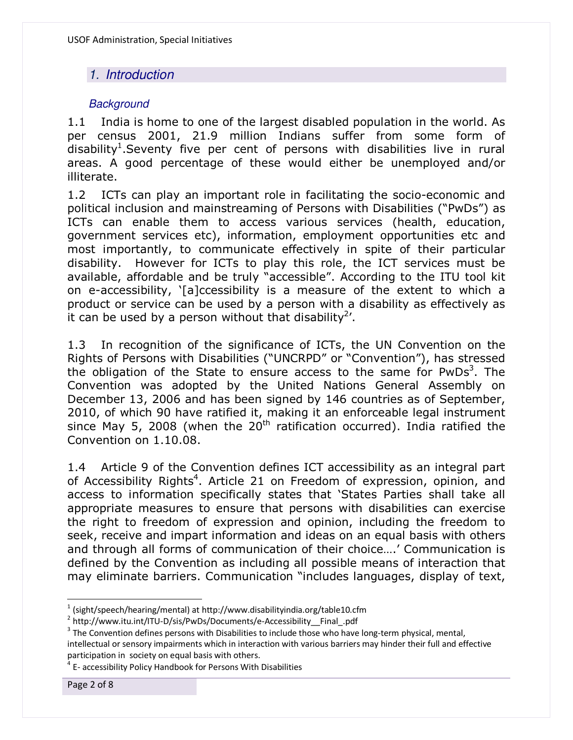# 1. Introduction

## **Background**

1.1 India is home to one of the largest disabled population in the world. As per census 2001, 21.9 million Indians suffer from some form of disability<sup>1</sup>. Seventy five per cent of persons with disabilities live in rural areas. A good percentage of these would either be unemployed and/or illiterate.

1.2 ICTs can play an important role in facilitating the socio-economic and political inclusion and mainstreaming of Persons with Disabilities ("PwDs") as ICTs can enable them to access various services (health, education, government services etc), information, employment opportunities etc and most importantly, to communicate effectively in spite of their particular disability. However for ICTs to play this role, the ICT services must be available, affordable and be truly "accessible". According to the ITU tool kit on e-accessibility, '[a]ccessibility is a measure of the extent to which a product or service can be used by a person with a disability as effectively as it can be used by a person without that disability<sup>2</sup>'.

1.3 In recognition of the significance of ICTs, the UN Convention on the Rights of Persons with Disabilities ("UNCRPD" or "Convention"), has stressed the obligation of the State to ensure access to the same for PwDs<sup>3</sup>. The Convention was adopted by the United Nations General Assembly on December 13, 2006 and has been signed by 146 countries as of September, 2010, of which 90 have ratified it, making it an enforceable legal instrument since May 5, 2008 (when the  $20<sup>th</sup>$  ratification occurred). India ratified the Convention on 1.10.08.

1.4 Article 9 of the Convention defines ICT accessibility as an integral part of Accessibility Rights<sup>4</sup>. Article 21 on Freedom of expression, opinion, and access to information specifically states that 'States Parties shall take all appropriate measures to ensure that persons with disabilities can exercise the right to freedom of expression and opinion, including the freedom to seek, receive and impart information and ideas on an equal basis with others and through all forms of communication of their choice….' Communication is defined by the Convention as including all possible means of interaction that may eliminate barriers. Communication "includes languages, display of text,

l

 $^{1}$  (sight/speech/hearing/mental) at http://www.disabilityindia.org/table10.cfm

<sup>&</sup>lt;sup>2</sup> http://www.itu.int/ITU-D/sis/PwDs/Documents/e-Accessibility\_\_Final\_.pdf

 $3$  The Convention defines persons with Disabilities to include those who have long-term physical, mental, intellectual or sensory impairments which in interaction with various barriers may hinder their full and effective participation in society on equal basis with others.<br><sup>4</sup> E. assoccibility Policy Handbook for Persons With I

<sup>&</sup>lt;sup>1</sup> E- accessibility Policy Handbook for Persons With Disabilities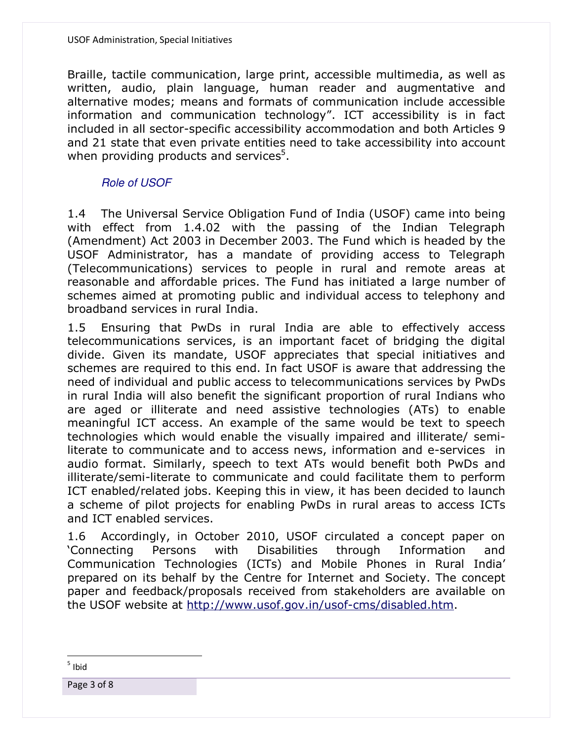Braille, tactile communication, large print, accessible multimedia, as well as written, audio, plain language, human reader and augmentative and alternative modes; means and formats of communication include accessible information and communication technology". ICT accessibility is in fact included in all sector-specific accessibility accommodation and both Articles 9 and 21 state that even private entities need to take accessibility into account when providing products and services<sup>5</sup>.

### Role of USOF

1.4 The Universal Service Obligation Fund of India (USOF) came into being with effect from 1.4.02 with the passing of the Indian Telegraph (Amendment) Act 2003 in December 2003. The Fund which is headed by the USOF Administrator, has a mandate of providing access to Telegraph (Telecommunications) services to people in rural and remote areas at reasonable and affordable prices. The Fund has initiated a large number of schemes aimed at promoting public and individual access to telephony and broadband services in rural India.

1.5 Ensuring that PwDs in rural India are able to effectively access telecommunications services, is an important facet of bridging the digital divide. Given its mandate, USOF appreciates that special initiatives and schemes are required to this end. In fact USOF is aware that addressing the need of individual and public access to telecommunications services by PwDs in rural India will also benefit the significant proportion of rural Indians who are aged or illiterate and need assistive technologies (ATs) to enable meaningful ICT access. An example of the same would be text to speech technologies which would enable the visually impaired and illiterate/ semiliterate to communicate and to access news, information and e-services in audio format. Similarly, speech to text ATs would benefit both PwDs and illiterate/semi-literate to communicate and could facilitate them to perform ICT enabled/related jobs. Keeping this in view, it has been decided to launch a scheme of pilot projects for enabling PwDs in rural areas to access ICTs and ICT enabled services.

1.6 Accordingly, in October 2010, USOF circulated a concept paper on 'Connecting Persons with Disabilities through Information and Communication Technologies (ICTs) and Mobile Phones in Rural India' prepared on its behalf by the Centre for Internet and Society. The concept paper and feedback/proposals received from stakeholders are available on the USOF website at http://www.usof.gov.in/usof-cms/disabled.htm.

 $\overline{a}$ 5 Ibid

Page 3 of 8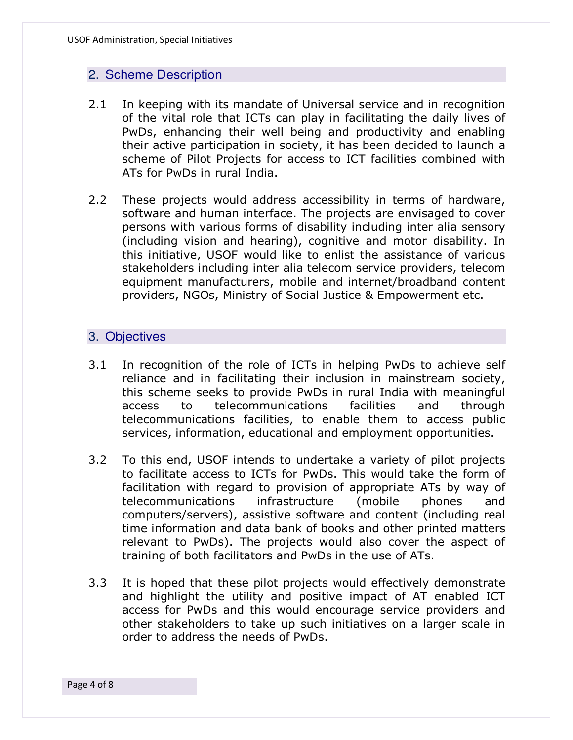### 2. Scheme Description

- 2.1 In keeping with its mandate of Universal service and in recognition of the vital role that ICTs can play in facilitating the daily lives of PwDs, enhancing their well being and productivity and enabling their active participation in society, it has been decided to launch a scheme of Pilot Projects for access to ICT facilities combined with ATs for PwDs in rural India.
- 2.2 These projects would address accessibility in terms of hardware, software and human interface. The projects are envisaged to cover persons with various forms of disability including inter alia sensory (including vision and hearing), cognitive and motor disability. In this initiative, USOF would like to enlist the assistance of various stakeholders including inter alia telecom service providers, telecom equipment manufacturers, mobile and internet/broadband content providers, NGOs, Ministry of Social Justice & Empowerment etc.

#### 3. Objectives

- 3.1 In recognition of the role of ICTs in helping PwDs to achieve self reliance and in facilitating their inclusion in mainstream society, this scheme seeks to provide PwDs in rural India with meaningful access to telecommunications facilities and through telecommunications facilities, to enable them to access public services, information, educational and employment opportunities.
- 3.2 To this end, USOF intends to undertake a variety of pilot projects to facilitate access to ICTs for PwDs. This would take the form of facilitation with regard to provision of appropriate ATs by way of telecommunications infrastructure (mobile phones and computers/servers), assistive software and content (including real time information and data bank of books and other printed matters relevant to PwDs). The projects would also cover the aspect of training of both facilitators and PwDs in the use of ATs.
- 3.3 It is hoped that these pilot projects would effectively demonstrate and highlight the utility and positive impact of AT enabled ICT access for PwDs and this would encourage service providers and other stakeholders to take up such initiatives on a larger scale in order to address the needs of PwDs.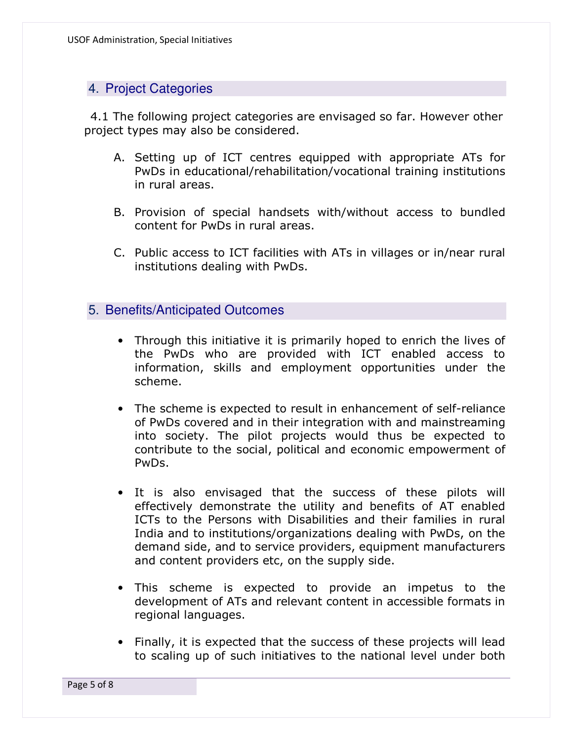# 4. Project Categories

4.1 The following project categories are envisaged so far. However other project types may also be considered.

- A. Setting up of ICT centres equipped with appropriate ATs for PwDs in educational/rehabilitation/vocational training institutions in rural areas.
- B. Provision of special handsets with/without access to bundled content for PwDs in rural areas.
- C. Public access to ICT facilities with ATs in villages or in/near rural institutions dealing with PwDs.

### 5. Benefits/Anticipated Outcomes

- Through this initiative it is primarily hoped to enrich the lives of the PwDs who are provided with ICT enabled access to information, skills and employment opportunities under the scheme.
- The scheme is expected to result in enhancement of self-reliance of PwDs covered and in their integration with and mainstreaming into society. The pilot projects would thus be expected to contribute to the social, political and economic empowerment of PwDs.
- It is also envisaged that the success of these pilots will effectively demonstrate the utility and benefits of AT enabled ICTs to the Persons with Disabilities and their families in rural India and to institutions/organizations dealing with PwDs, on the demand side, and to service providers, equipment manufacturers and content providers etc, on the supply side.
- This scheme is expected to provide an impetus to the development of ATs and relevant content in accessible formats in regional languages.
- Finally, it is expected that the success of these projects will lead to scaling up of such initiatives to the national level under both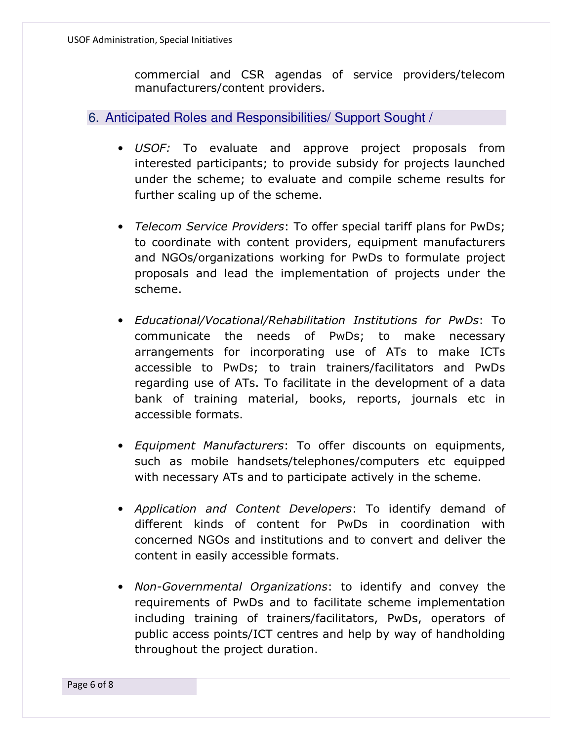commercial and CSR agendas of service providers/telecom manufacturers/content providers.

6. Anticipated Roles and Responsibilities/ Support Sought /

- *USOF:* To evaluate and approve project proposals from interested participants; to provide subsidy for projects launched under the scheme; to evaluate and compile scheme results for further scaling up of the scheme.
- *Telecom Service Providers*: To offer special tariff plans for PwDs; to coordinate with content providers, equipment manufacturers and NGOs/organizations working for PwDs to formulate project proposals and lead the implementation of projects under the scheme.
- *Educational/Vocational/Rehabilitation Institutions for PwDs*: To communicate the needs of PwDs; to make necessary arrangements for incorporating use of ATs to make ICTs accessible to PwDs; to train trainers/facilitators and PwDs regarding use of ATs. To facilitate in the development of a data bank of training material, books, reports, journals etc in accessible formats.
- *Equipment Manufacturers*: To offer discounts on equipments, such as mobile handsets/telephones/computers etc equipped with necessary ATs and to participate actively in the scheme.
- *Application and Content Developers*: To identify demand of different kinds of content for PwDs in coordination with concerned NGOs and institutions and to convert and deliver the content in easily accessible formats.
- *Non-Governmental Organizations*: to identify and convey the requirements of PwDs and to facilitate scheme implementation including training of trainers/facilitators, PwDs, operators of public access points/ICT centres and help by way of handholding throughout the project duration.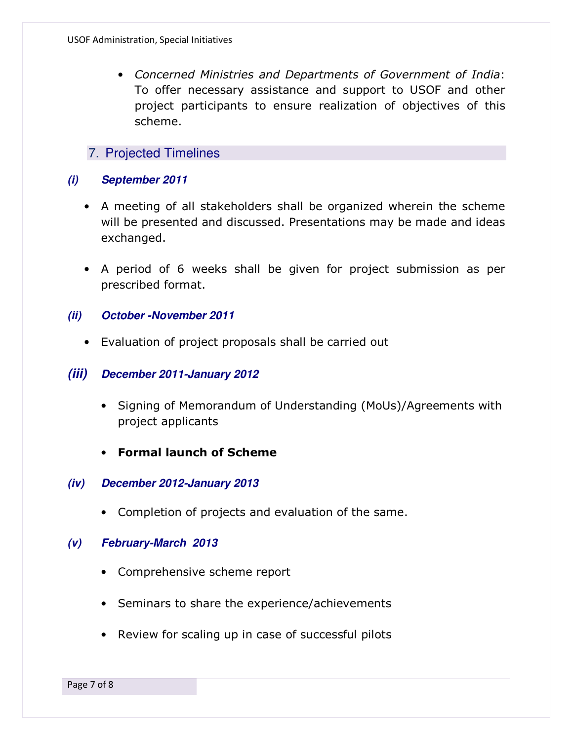• *Concerned Ministries and Departments of Government of India*: To offer necessary assistance and support to USOF and other project participants to ensure realization of objectives of this scheme.

## 7. Projected Timelines

#### **(i) September 2011**

- A meeting of all stakeholders shall be organized wherein the scheme will be presented and discussed. Presentations may be made and ideas exchanged.
- A period of 6 weeks shall be given for project submission as per prescribed format.

#### **(ii) October -November 2011**

• Evaluation of project proposals shall be carried out

#### **(iii) December 2011-January 2012**

- Signing of Memorandum of Understanding (MoUs)/Agreements with project applicants
- **Formal launch of Scheme**

#### **(iv) December 2012-January 2013**

• Completion of projects and evaluation of the same.

#### **(v) February-March 2013**

- Comprehensive scheme report
- Seminars to share the experience/achievements
- Review for scaling up in case of successful pilots